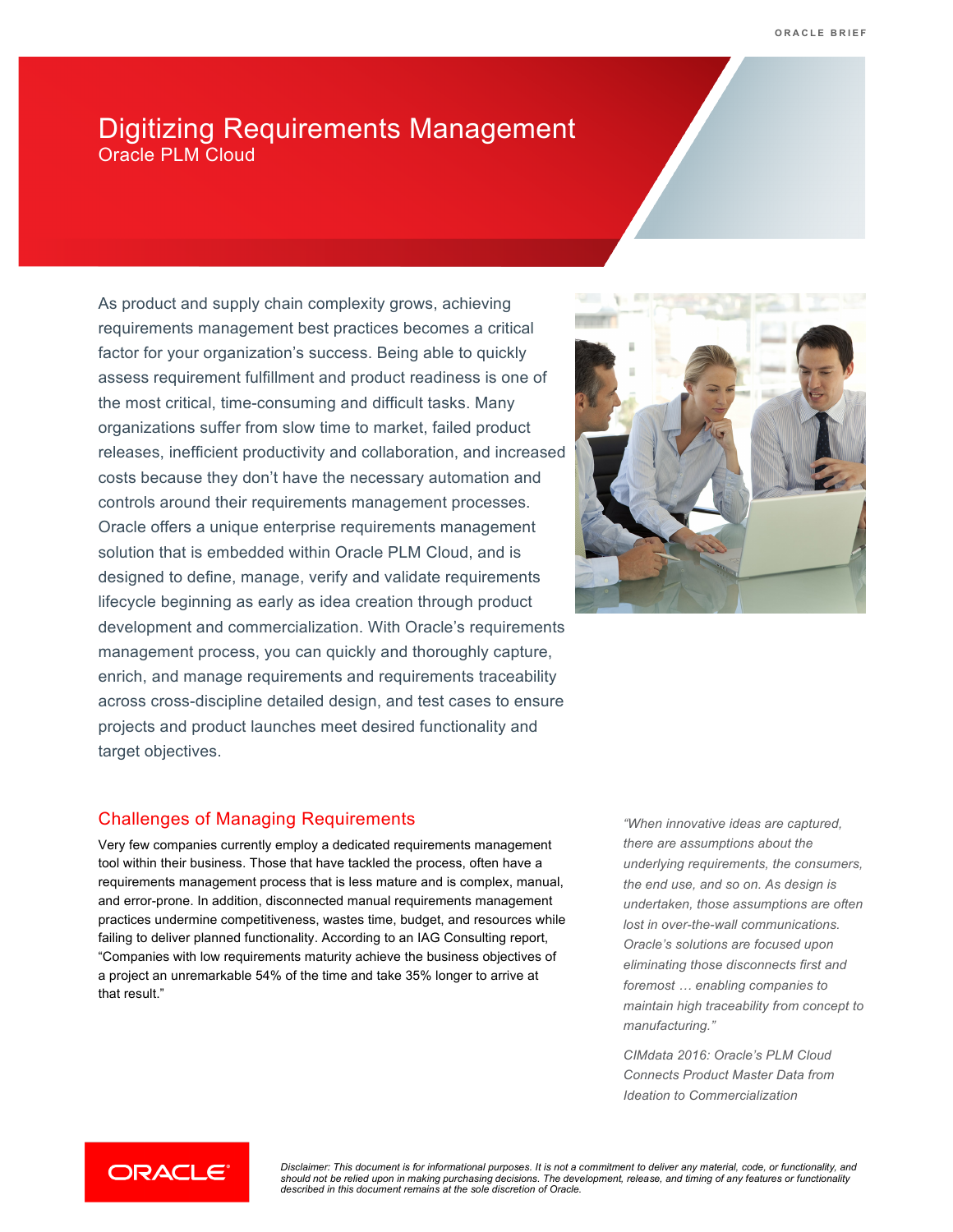# Digitizing Requirements Management Oracle PLM Cloud

As product and supply chain complexity grows, achieving requirements management best practices becomes a critical factor for your organization's success. Being able to quickly assess requirement fulfillment and product readiness is one of the most critical, time-consuming and difficult tasks. Many organizations suffer from slow time to market, failed product releases, inefficient productivity and collaboration, and increased costs because they don't have the necessary automation and controls around their requirements management processes. Oracle offers a unique enterprise requirements management solution that is embedded within Oracle PLM Cloud, and is designed to define, manage, verify and validate requirements lifecycle beginning as early as idea creation through product development and commercialization. With Oracle's requirements management process, you can quickly and thoroughly capture, enrich, and manage requirements and requirements traceability across cross-discipline detailed design, and test cases to ensure projects and product launches meet desired functionality and target objectives.

### Challenges of Managing Requirements

Very few companies currently employ a dedicated requirements management tool within their business. Those that have tackled the process, often have a requirements management process that is less mature and is complex, manual, and error-prone. In addition, disconnected manual requirements management practices undermine competitiveness, wastes time, budget, and resources while failing to deliver planned functionality. According to an IAG Consulting report, "Companies with low requirements maturity achieve the business objectives of a project an unremarkable 54% of the time and take 35% longer to arrive at that result."

*"When innovative ideas are captured, there are assumptions about the underlying requirements, the consumers, the end use, and so on. As design is undertaken, those assumptions are often lost in over-the-wall communications. Oracle's solutions are focused upon eliminating those disconnects first and foremost … enabling companies to maintain high traceability from concept to manufacturing."* 

*CIMdata 2016: Oracle's PLM Cloud Connects Product Master Data from Ideation to Commercialization*



*Disclaimer: This document is for informational purposes. It is not a commitment to deliver any material, code, or functionality, and should not be relied upon in making purchasing decisions. The development, release, and timing of any features or functionality described in this document remains at the sole discretion of Oracle.*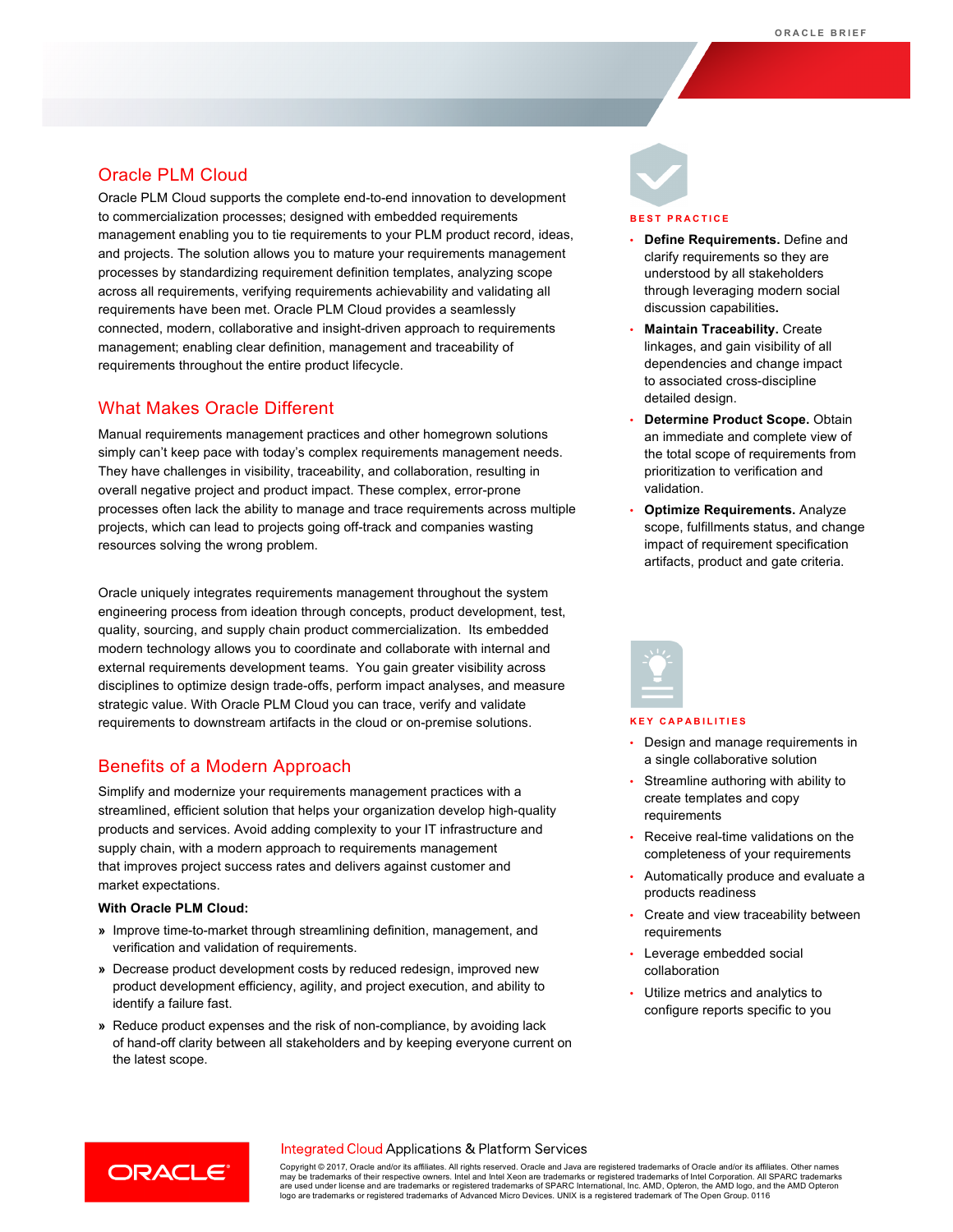### Oracle PLM Cloud

Oracle PLM Cloud supports the complete end-to-end innovation to development to commercialization processes; designed with embedded requirements management enabling you to tie requirements to your PLM product record, ideas, and projects. The solution allows you to mature your requirements management processes by standardizing requirement definition templates, analyzing scope across all requirements, verifying requirements achievability and validating all requirements have been met. Oracle PLM Cloud provides a seamlessly connected, modern, collaborative and insight-driven approach to requirements management; enabling clear definition, management and traceability of requirements throughout the entire product lifecycle.

### What Makes Oracle Different

Manual requirements management practices and other homegrown solutions simply can't keep pace with today's complex requirements management needs. They have challenges in visibility, traceability, and collaboration, resulting in overall negative project and product impact. These complex, error-prone processes often lack the ability to manage and trace requirements across multiple projects, which can lead to projects going off-track and companies wasting resources solving the wrong problem.

Oracle uniquely integrates requirements management throughout the system engineering process from ideation through concepts, product development, test, quality, sourcing, and supply chain product commercialization. Its embedded modern technology allows you to coordinate and collaborate with internal and external requirements development teams. You gain greater visibility across disciplines to optimize design trade-offs, perform impact analyses, and measure strategic value. With Oracle PLM Cloud you can trace, verify and validate requirements to downstream artifacts in the cloud or on-premise solutions.

### Benefits of a Modern Approach

Simplify and modernize your requirements management practices with a streamlined, efficient solution that helps your organization develop high-quality products and services. Avoid adding complexity to your IT infrastructure and supply chain, with a modern approach to requirements management that improves project success rates and delivers against customer and market expectations.

### **With Oracle PLM Cloud:**

- **»** Improve time-to-market through streamlining definition, management, and verification and validation of requirements.
- **»** Decrease product development costs by reduced redesign, improved new product development efficiency, agility, and project execution, and ability to identify a failure fast.
- **»** Reduce product expenses and the risk of non-compliance, by avoiding lack of hand-off clarity between all stakeholders and by keeping everyone current on the latest scope.



#### **BEST PRACTICE**

- **Define Requirements.** Define and clarify requirements so they are understood by all stakeholders through leveraging modern social discussion capabilities**.**
- **Maintain Traceability.** Create linkages, and gain visibility of all dependencies and change impact to associated cross-discipline detailed design.
- **Determine Product Scope.** Obtain an immediate and complete view of the total scope of requirements from prioritization to verification and validation.
- **Optimize Requirements.** Analyze scope, fulfillments status, and change impact of requirement specification artifacts, product and gate criteria.



#### **KEY CAPABILITIES**

- Design and manage requirements in a single collaborative solution
- Streamline authoring with ability to create templates and copy requirements
- Receive real-time validations on the completeness of your requirements
- Automatically produce and evaluate a products readiness
- Create and view traceability between requirements
- Leverage embedded social collaboration
- Utilize metrics and analytics to configure reports specific to you



### Integrated Cloud Applications & Platform Services

Copyright © 2017, Oracle and/or its affiliates. All rights reserved. Oracle and Java are registered trademarks of Oracle and/or its affiliates. Other names may be trademarks of their respective owners. Intel and Intel Xeon are trademarks or registered trademarks of Intel Corporation. All SPARC trademarks<br>are used under license and are trademarks or registered trademarks of SP